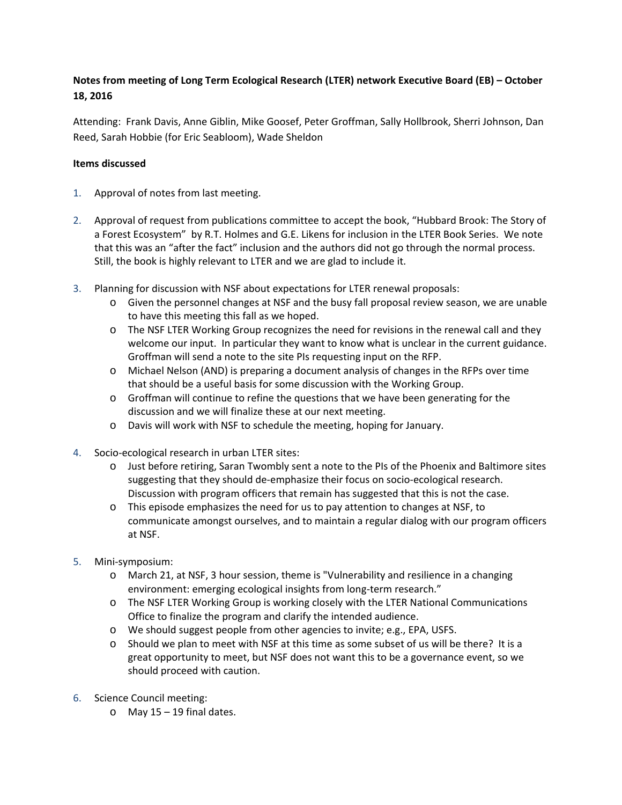## **Notes from meeting of Long Term Ecological Research (LTER) network Executive Board (EB) – October 18, 2016**

Attending: Frank Davis, Anne Giblin, Mike Goosef, Peter Groffman, Sally Hollbrook, Sherri Johnson, Dan Reed, Sarah Hobbie (for Eric Seabloom), Wade Sheldon

## **Items discussed**

- 1. Approval of notes from last meeting.
- 2. Approval of request from publications committee to accept the book, "Hubbard Brook: The Story of a Forest Ecosystem" by R.T. Holmes and G.E. Likens for inclusion in the LTER Book Series. We note that this was an "after the fact" inclusion and the authors did not go through the normal process. Still, the book is highly relevant to LTER and we are glad to include it.
- 3. Planning for discussion with NSF about expectations for LTER renewal proposals:
	- o Given the personnel changes at NSF and the busy fall proposal review season, we are unable to have this meeting this fall as we hoped.
	- o The NSF LTER Working Group recognizes the need for revisions in the renewal call and they welcome our input. In particular they want to know what is unclear in the current guidance. Groffman will send a note to the site PIs requesting input on the RFP.
	- o Michael Nelson (AND) is preparing a document analysis of changes in the RFPs over time that should be a useful basis for some discussion with the Working Group.
	- o Groffman will continue to refine the questions that we have been generating for the discussion and we will finalize these at our next meeting.
	- o Davis will work with NSF to schedule the meeting, hoping for January.
- 4. Socio-ecological research in urban LTER sites:
	- o Just before retiring, Saran Twombly sent a note to the PIs of the Phoenix and Baltimore sites suggesting that they should de-emphasize their focus on socio-ecological research. Discussion with program officers that remain has suggested that this is not the case.
	- o This episode emphasizes the need for us to pay attention to changes at NSF, to communicate amongst ourselves, and to maintain a regular dialog with our program officers at NSF.
- 5. Mini-symposium:
	- o March 21, at NSF, 3 hour session, theme is "Vulnerability and resilience in a changing environment: emerging ecological insights from long-term research."
	- o The NSF LTER Working Group is working closely with the LTER National Communications Office to finalize the program and clarify the intended audience.
	- o We should suggest people from other agencies to invite; e.g., EPA, USFS.
	- o Should we plan to meet with NSF at this time as some subset of us will be there? It is a great opportunity to meet, but NSF does not want this to be a governance event, so we should proceed with caution.
- 6. Science Council meeting:
	- $\circ$  May 15 19 final dates.